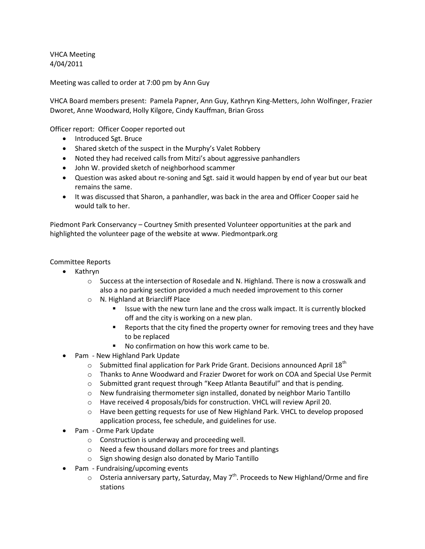VHCA Meeting 4/04/2011

Meeting was called to order at 7:00 pm by Ann Guy

VHCA Board members present: Pamela Papner, Ann Guy, Kathryn King-Metters, John Wolfinger, Frazier Dworet, Anne Woodward, Holly Kilgore, Cindy Kauffman, Brian Gross

Officer report: Officer Cooper reported out

- Introduced Sgt. Bruce
- Shared sketch of the suspect in the Murphy's Valet Robbery
- Noted they had received calls from Mitzi's about aggressive panhandlers
- John W. provided sketch of neighborhood scammer
- Question was asked about re-soning and Sgt. said it would happen by end of year but our beat remains the same.
- It was discussed that Sharon, a panhandler, was back in the area and Officer Cooper said he would talk to her.

Piedmont Park Conservancy – Courtney Smith presented Volunteer opportunities at the park and highlighted the volunteer page of the website at www. Piedmontpark.org

Committee Reports

- Kathryn
	- o Success at the intersection of Rosedale and N. Highland. There is now a crosswalk and also a no parking section provided a much needed improvement to this corner
	- o N. Highland at Briarcliff Place
		- **ISSUE With the new turn lane and the cross walk impact. It is currently blocked** off and the city is working on a new plan.
		- **EXE** Reports that the city fined the property owner for removing trees and they have to be replaced
		- No confirmation on how this work came to be.
- Pam New Highland Park Update
	- $\circ$  Submitted final application for Park Pride Grant. Decisions announced April 18<sup>th</sup>
	- o Thanks to Anne Woodward and Frazier Dworet for work on COA and Special Use Permit
	- o Submitted grant request through "Keep Atlanta Beautiful" and that is pending.
	- $\circ$  New fundraising thermometer sign installed, donated by neighbor Mario Tantillo
	- o Have received 4 proposals/bids for construction. VHCL will review April 20.
	- $\circ$  Have been getting requests for use of New Highland Park. VHCL to develop proposed application process, fee schedule, and guidelines for use.
- Pam Orme Park Update
	- o Construction is underway and proceeding well.
	- o Need a few thousand dollars more for trees and plantings
	- o Sign showing design also donated by Mario Tantillo
- Pam Fundraising/upcoming events
	- $\circ$  Osteria anniversary party, Saturday, May 7<sup>th</sup>. Proceeds to New Highland/Orme and fire stations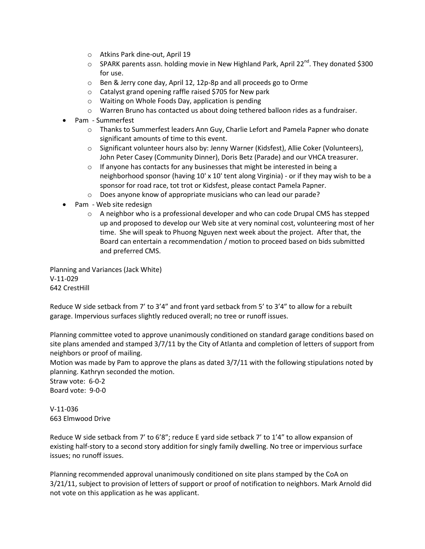- o Atkins Park dine-out, April 19
- $\circ$  SPARK parents assn. holding movie in New Highland Park, April 22<sup>nd</sup>. They donated \$300 for use.
- o Ben & Jerry cone day, April 12, 12p-8p and all proceeds go to Orme
- o Catalyst grand opening raffle raised \$705 for New park
- o Waiting on Whole Foods Day, application is pending
- o Warren Bruno has contacted us about doing tethered balloon rides as a fundraiser.
- Pam Summerfest
	- o Thanks to Summerfest leaders Ann Guy, Charlie Lefort and Pamela Papner who donate significant amounts of time to this event.
	- o Significant volunteer hours also by: Jenny Warner (Kidsfest), Allie Coker (Volunteers), John Peter Casey (Community Dinner), Doris Betz (Parade) and our VHCA treasurer.
	- $\circ$  If anyone has contacts for any businesses that might be interested in being a neighborhood sponsor (having 10' x 10' tent along Virginia) - or if they may wish to be a sponsor for road race, tot trot or Kidsfest, please contact Pamela Papner.
	- o Does anyone know of appropriate musicians who can lead our parade?
- Pam Web site redesign
	- $\circ$  A neighbor who is a professional developer and who can code Drupal CMS has stepped up and proposed to develop our Web site at very nominal cost, volunteering most of her time. She will speak to Phuong Nguyen next week about the project. After that, the Board can entertain a recommendation / motion to proceed based on bids submitted and preferred CMS.

Planning and Variances (Jack White) V-11-029 642 CrestHill

Reduce W side setback from 7' to 3'4" and front yard setback from 5' to 3'4" to allow for a rebuilt garage. Impervious surfaces slightly reduced overall; no tree or runoff issues.

Planning committee voted to approve unanimously conditioned on standard garage conditions based on site plans amended and stamped 3/7/11 by the City of Atlanta and completion of letters of support from neighbors or proof of mailing.

Motion was made by Pam to approve the plans as dated 3/7/11 with the following stipulations noted by planning. Kathryn seconded the motion.

Straw vote: 6-0-2 Board vote: 9-0-0

V-11-036 663 Elmwood Drive

Reduce W side setback from 7' to 6'8"; reduce E yard side setback 7' to 1'4" to allow expansion of existing half-story to a second story addition for singly family dwelling. No tree or impervious surface issues; no runoff issues.

Planning recommended approval unanimously conditioned on site plans stamped by the CoA on 3/21/11, subject to provision of letters of support or proof of notification to neighbors. Mark Arnold did not vote on this application as he was applicant.